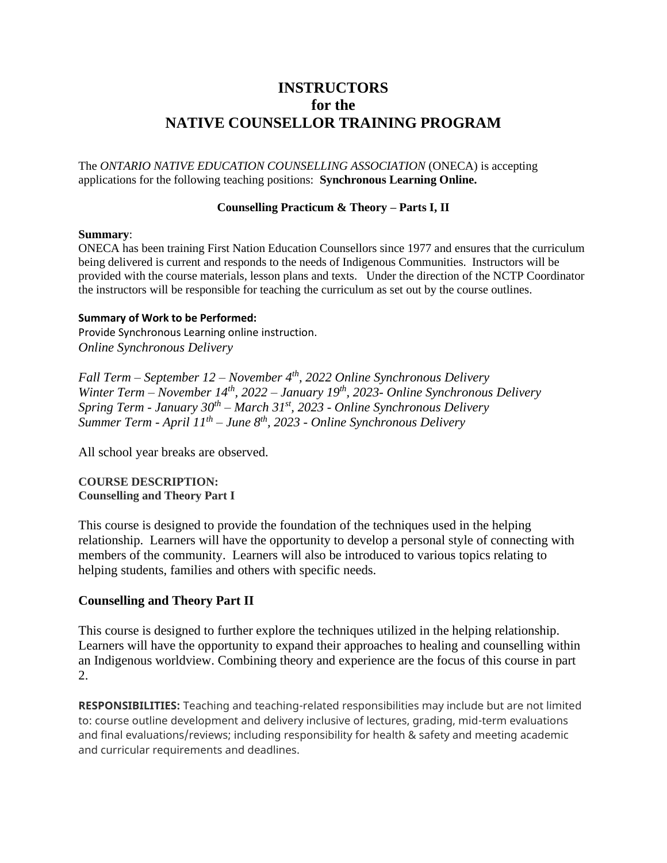# **INSTRUCTORS for the NATIVE COUNSELLOR TRAINING PROGRAM**

The *ONTARIO NATIVE EDUCATION COUNSELLING ASSOCIATION* (ONECA) is accepting applications for the following teaching positions: **Synchronous Learning Online.**

#### **Counselling Practicum & Theory – Parts I, II**

#### **Summary**:

ONECA has been training First Nation Education Counsellors since 1977 and ensures that the curriculum being delivered is current and responds to the needs of Indigenous Communities. Instructors will be provided with the course materials, lesson plans and texts. Under the direction of the NCTP Coordinator the instructors will be responsible for teaching the curriculum as set out by the course outlines.

#### **Summary of Work to be Performed:**

Provide Synchronous Learning online instruction. *Online Synchronous Delivery*

*Fall Term – September 12 – November 4th, 2022 Online Synchronous Delivery Winter Term – November 14th, 2022 – January 19th, 2023- Online Synchronous Delivery Spring Term - January 30th – March 31st, 2023 - Online Synchronous Delivery Summer Term - April 11th – June 8th, 2023 - Online Synchronous Delivery*

All school year breaks are observed.

### **COURSE DESCRIPTION: Counselling and Theory Part I**

This course is designed to provide the foundation of the techniques used in the helping relationship. Learners will have the opportunity to develop a personal style of connecting with members of the community. Learners will also be introduced to various topics relating to helping students, families and others with specific needs.

# **Counselling and Theory Part II**

This course is designed to further explore the techniques utilized in the helping relationship. Learners will have the opportunity to expand their approaches to healing and counselling within an Indigenous worldview. Combining theory and experience are the focus of this course in part 2.

**RESPONSIBILITIES:** Teaching and teaching-related responsibilities may include but are not limited to: course outline development and delivery inclusive of lectures, grading, mid-term evaluations and final evaluations/reviews; including responsibility for health & safety and meeting academic and curricular requirements and deadlines.